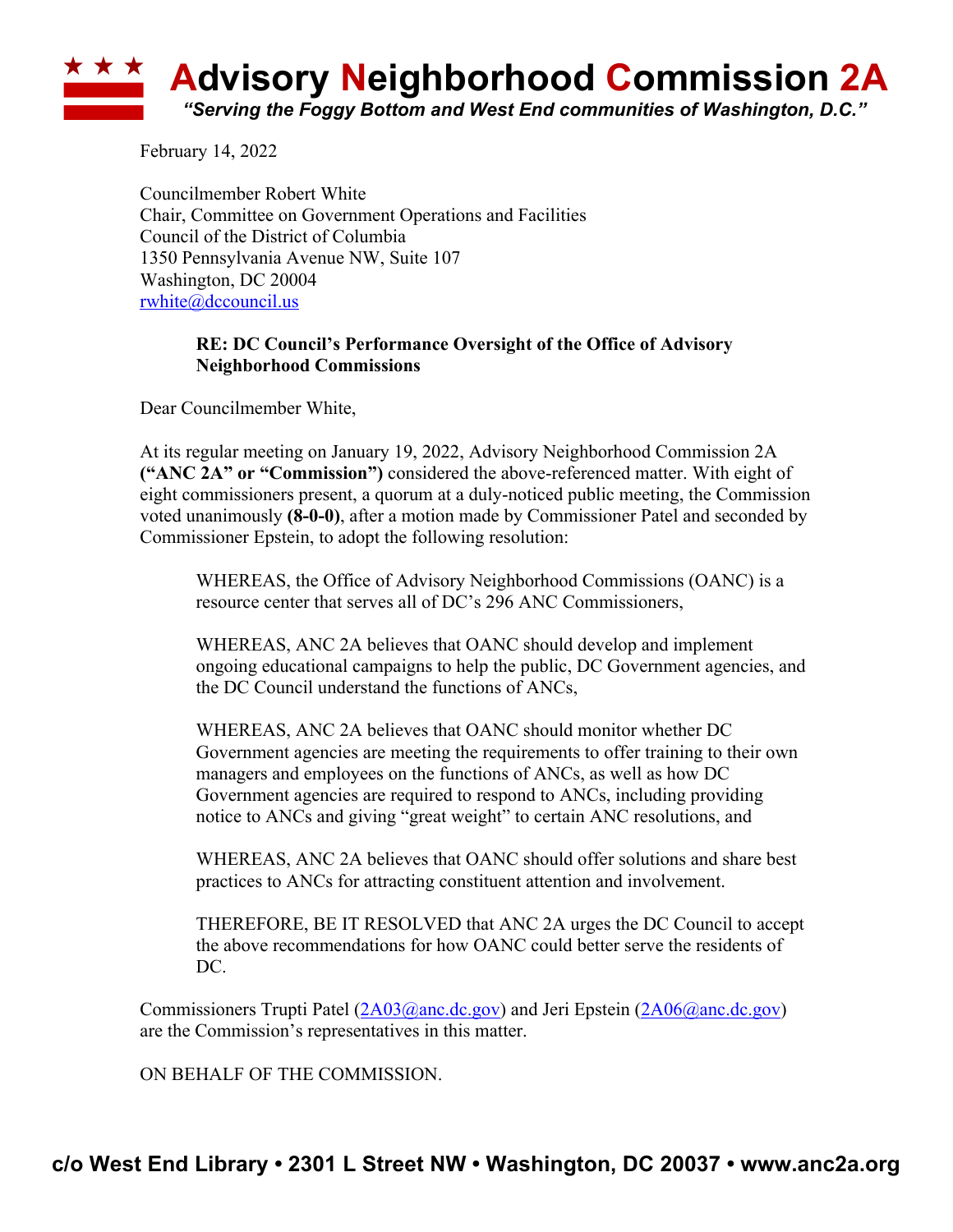## **Advisory Neighborhood Commission 2A** *"Serving the Foggy Bottom and West End communities of Washington, D.C."*

February 14, 2022

Councilmember Robert White Chair, Committee on Government Operations and Facilities Council of the District of Columbia 1350 Pennsylvania Avenue NW, Suite 107 Washington, DC 20004 rwhite@dccouncil.us

## **RE: DC Council's Performance Oversight of the Office of Advisory Neighborhood Commissions**

Dear Councilmember White,

At its regular meeting on January 19, 2022, Advisory Neighborhood Commission 2A **("ANC 2A" or "Commission")** considered the above-referenced matter. With eight of eight commissioners present, a quorum at a duly-noticed public meeting, the Commission voted unanimously **(8-0-0)**, after a motion made by Commissioner Patel and seconded by Commissioner Epstein, to adopt the following resolution:

WHEREAS, the Office of Advisory Neighborhood Commissions (OANC) is a resource center that serves all of DC's 296 ANC Commissioners,

WHEREAS, ANC 2A believes that OANC should develop and implement ongoing educational campaigns to help the public, DC Government agencies, and the DC Council understand the functions of ANCs,

WHEREAS, ANC 2A believes that OANC should monitor whether DC Government agencies are meeting the requirements to offer training to their own managers and employees on the functions of ANCs, as well as how DC Government agencies are required to respond to ANCs, including providing notice to ANCs and giving "great weight" to certain ANC resolutions, and

WHEREAS, ANC 2A believes that OANC should offer solutions and share best practices to ANCs for attracting constituent attention and involvement.

THEREFORE, BE IT RESOLVED that ANC 2A urges the DC Council to accept the above recommendations for how OANC could better serve the residents of DC.

Commissioners Trupti Patel (2A03@anc.dc.gov) and Jeri Epstein (2A06@anc.dc.gov) are the Commission's representatives in this matter.

ON BEHALF OF THE COMMISSION.